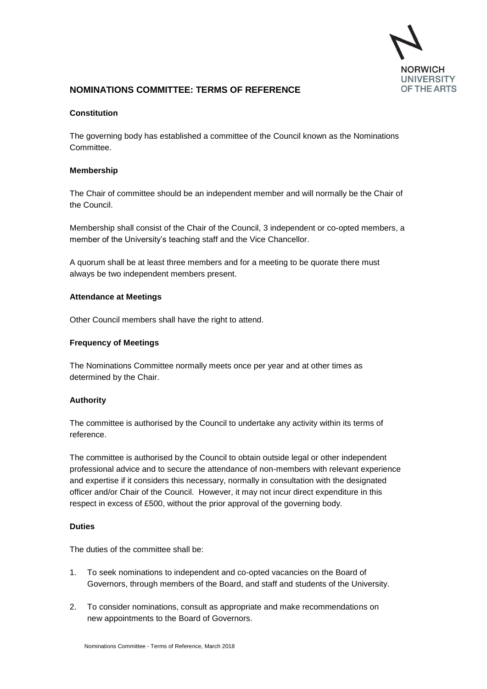

# **NOMINATIONS COMMITTEE: TERMS OF REFERENCE**

## **Constitution**

The governing body has established a committee of the Council known as the Nominations Committee.

## **Membership**

The Chair of committee should be an independent member and will normally be the Chair of the Council.

Membership shall consist of the Chair of the Council, 3 independent or co-opted members, a member of the University's teaching staff and the Vice Chancellor.

A quorum shall be at least three members and for a meeting to be quorate there must always be two independent members present.

### **Attendance at Meetings**

Other Council members shall have the right to attend.

## **Frequency of Meetings**

The Nominations Committee normally meets once per year and at other times as determined by the Chair.

### **Authority**

The committee is authorised by the Council to undertake any activity within its terms of reference.

The committee is authorised by the Council to obtain outside legal or other independent professional advice and to secure the attendance of non-members with relevant experience and expertise if it considers this necessary, normally in consultation with the designated officer and/or Chair of the Council. However, it may not incur direct expenditure in this respect in excess of £500, without the prior approval of the governing body.

### **Duties**

The duties of the committee shall be:

- 1. To seek nominations to independent and co-opted vacancies on the Board of Governors, through members of the Board, and staff and students of the University.
- 2. To consider nominations, consult as appropriate and make recommendations on new appointments to the Board of Governors.